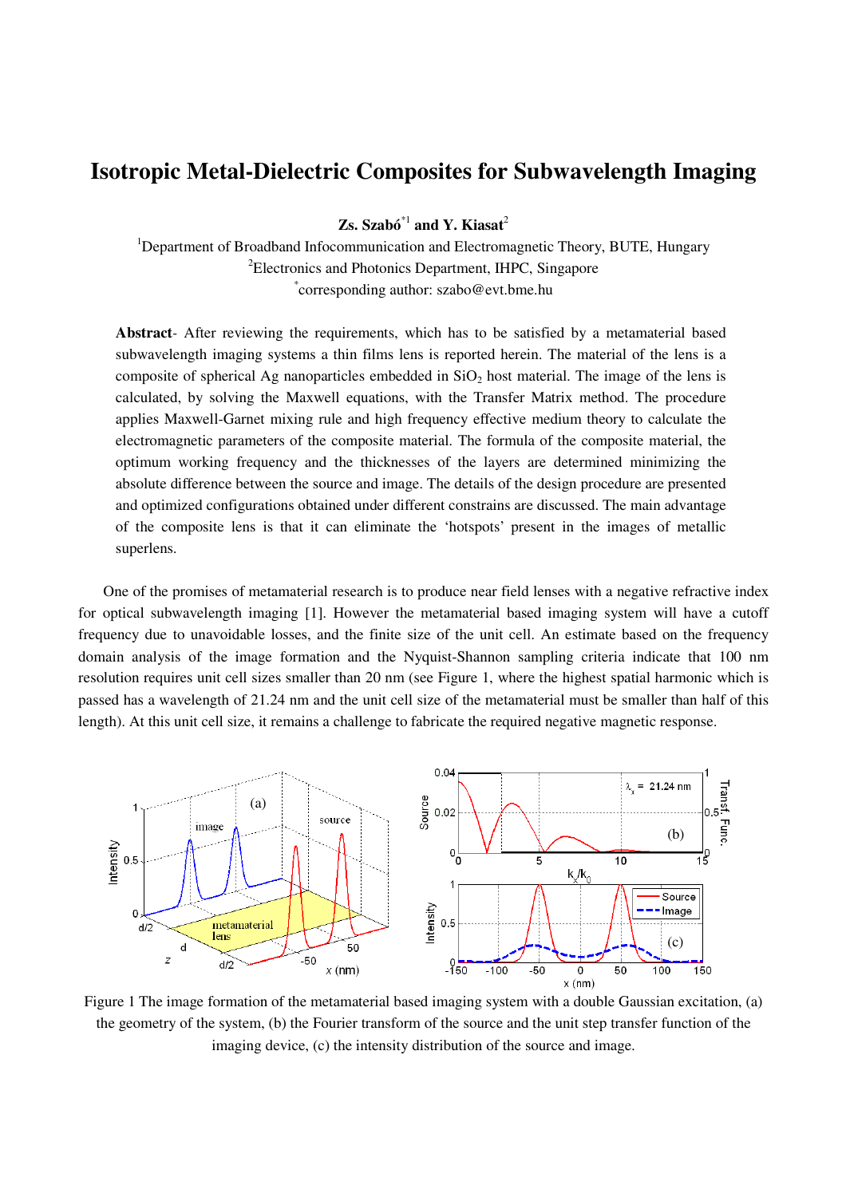## **Isotropic Metal-Dielectric Composites for Subwavelength Imaging**

**Zs. Szabó**\*1 **and Y. Kiasat**<sup>2</sup>

<sup>1</sup>Department of Broadband Infocommunication and Electromagnetic Theory, BUTE, Hungary <sup>2</sup>Electronics and Photonics Department, IHPC, Singapore \* corresponding author: szabo@evt.bme.hu

**Abstract***-* After reviewing the requirements, which has to be satisfied by a metamaterial based subwavelength imaging systems a thin films lens is reported herein. The material of the lens is a composite of spherical Ag nanoparticles embedded in  $SiO<sub>2</sub>$  host material. The image of the lens is calculated, by solving the Maxwell equations, with the Transfer Matrix method. The procedure applies Maxwell-Garnet mixing rule and high frequency effective medium theory to calculate the electromagnetic parameters of the composite material. The formula of the composite material, the optimum working frequency and the thicknesses of the layers are determined minimizing the absolute difference between the source and image. The details of the design procedure are presented and optimized configurations obtained under different constrains are discussed. The main advantage of the composite lens is that it can eliminate the 'hotspots' present in the images of metallic superlens.

One of the promises of metamaterial research is to produce near field lenses with a negative refractive index for optical subwavelength imaging [1]. However the metamaterial based imaging system will have a cutoff frequency due to unavoidable losses, and the finite size of the unit cell. An estimate based on the frequency domain analysis of the image formation and the Nyquist-Shannon sampling criteria indicate that 100 nm resolution requires unit cell sizes smaller than 20 nm (see Figure 1, where the highest spatial harmonic which is passed has a wavelength of 21.24 nm and the unit cell size of the metamaterial must be smaller than half of this length). At this unit cell size, it remains a challenge to fabricate the required negative magnetic response.



Figure 1 The image formation of the metamaterial based imaging system with a double Gaussian excitation, (a) the geometry of the system, (b) the Fourier transform of the source and the unit step transfer function of the imaging device, (c) the intensity distribution of the source and image.